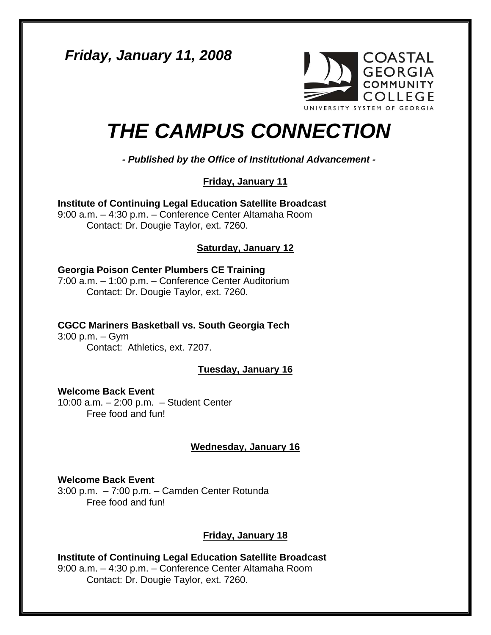*Friday, January 11, 2008* 



# *THE CAMPUS CONNECTION*

*- Published by the Office of Institutional Advancement -*

**Friday, January 11**

**Institute of Continuing Legal Education Satellite Broadcast**  9:00 a.m. – 4:30 p.m. – Conference Center Altamaha Room Contact: Dr. Dougie Taylor, ext. 7260.

# **Saturday, January 12**

## **Georgia Poison Center Plumbers CE Training**

7:00 a.m. – 1:00 p.m. – Conference Center Auditorium Contact: Dr. Dougie Taylor, ext. 7260.

## **CGCC Mariners Basketball vs. South Georgia Tech**

3:00 p.m. – Gym Contact: Athletics, ext. 7207.

## **Tuesday, January 16**

**Welcome Back Event**  10:00 a.m. – 2:00 p.m. – Student Center Free food and fun!

## **Wednesday, January 16**

**Welcome Back Event**  3:00 p.m. – 7:00 p.m. – Camden Center Rotunda Free food and fun!

# **Friday, January 18**

**Institute of Continuing Legal Education Satellite Broadcast**  9:00 a.m. – 4:30 p.m. – Conference Center Altamaha Room Contact: Dr. Dougie Taylor, ext. 7260.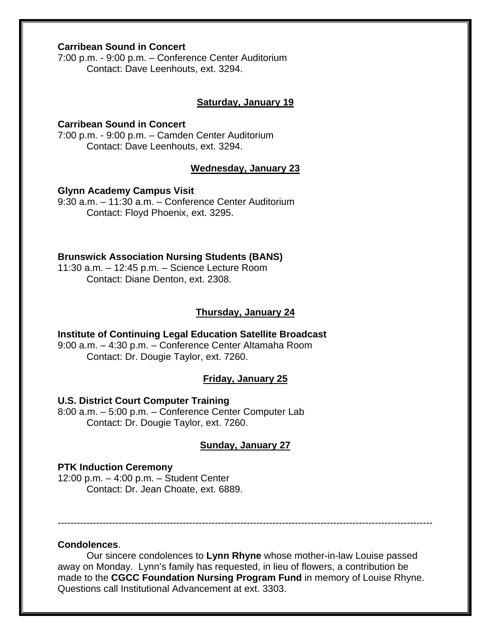## **Carribean Sound in Concert**

7:00 p.m. - 9:00 p.m. – Conference Center Auditorium Contact: Dave Leenhouts, ext. 3294.

#### **Saturday, January 19**

## **Carribean Sound in Concert**

7:00 p.m. - 9:00 p.m. – Camden Center Auditorium Contact: Dave Leenhouts, ext. 3294.

## **Wednesday, January 23**

#### **Glynn Academy Campus Visit**

9:30 a.m. – 11:30 a.m. – Conference Center Auditorium Contact: Floyd Phoenix, ext. 3295.

#### **Brunswick Association Nursing Students (BANS)**

11:30 a.m. – 12:45 p.m. – Science Lecture Room Contact: Diane Denton, ext. 2308.

#### **Thursday, January 24**

## **Institute of Continuing Legal Education Satellite Broadcast**  9:00 a.m. – 4:30 p.m. – Conference Center Altamaha Room

Contact: Dr. Dougie Taylor, ext. 7260.

## **Friday, January 25**

#### **U.S. District Court Computer Training**

8:00 a.m. – 5:00 p.m. – Conference Center Computer Lab Contact: Dr. Dougie Taylor, ext. 7260.

## **Sunday, January 27**

#### **PTK Induction Ceremony**

12:00 p.m. – 4:00 p.m. – Student Center Contact: Dr. Jean Choate, ext. 6889.

---------------------------------------------------------------------------------------------------------------------

#### **Condolences**.

Our sincere condolences to **Lynn Rhyne** whose mother-in-law Louise passed away on Monday. Lynn's family has requested, in lieu of flowers, a contribution be made to the **CGCC Foundation Nursing Program Fund** in memory of Louise Rhyne. Questions call Institutional Advancement at ext. 3303.